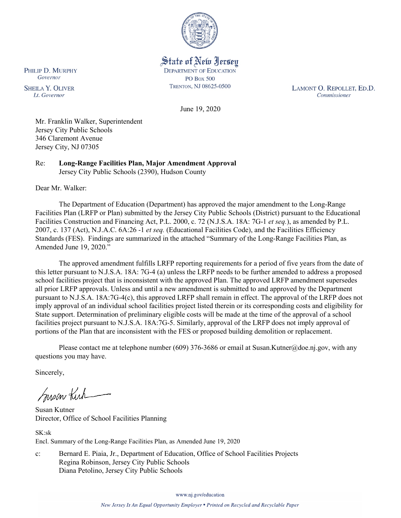

State of New Jersey **DEPARTMENT OF EDUCATION PO Box 500** TRENTON, NJ 08625-0500

LAMONT O. REPOLLET, ED.D. Commissioner

June 19, 2020

Mr. Franklin Walker, Superintendent Jersey City Public Schools 346 Claremont Avenue Jersey City, NJ 07305

Re: **Long-Range Facilities Plan, Major Amendment Approval**  Jersey City Public Schools (2390), Hudson County

Dear Mr. Walker:

The Department of Education (Department) has approved the major amendment to the Long-Range Facilities Plan (LRFP or Plan) submitted by the Jersey City Public Schools (District) pursuant to the Educational Facilities Construction and Financing Act, P.L. 2000, c. 72 (N.J.S.A. 18A: 7G-1 *et seq.*), as amended by P.L. 2007, c. 137 (Act), N.J.A.C. 6A:26 -1 *et seq.* (Educational Facilities Code), and the Facilities Efficiency Standards (FES). Findings are summarized in the attached "Summary of the Long-Range Facilities Plan, as Amended June 19, 2020."

The approved amendment fulfills LRFP reporting requirements for a period of five years from the date of this letter pursuant to N.J.S.A. 18A: 7G-4 (a) unless the LRFP needs to be further amended to address a proposed school facilities project that is inconsistent with the approved Plan. The approved LRFP amendment supersedes all prior LRFP approvals. Unless and until a new amendment is submitted to and approved by the Department pursuant to N.J.S.A. 18A:7G-4(c), this approved LRFP shall remain in effect. The approval of the LRFP does not imply approval of an individual school facilities project listed therein or its corresponding costs and eligibility for State support. Determination of preliminary eligible costs will be made at the time of the approval of a school facilities project pursuant to N.J.S.A. 18A:7G-5. Similarly, approval of the LRFP does not imply approval of portions of the Plan that are inconsistent with the FES or proposed building demolition or replacement.

Please contact me at telephone number (609) 376-3686 or email at Susan.Kutner@doe.nj.gov, with any questions you may have.

Sincerely,

Susan Kich

Susan Kutner Director, Office of School Facilities Planning

SK:sk Encl. Summary of the Long-Range Facilities Plan, as Amended June 19, 2020

c: Bernard E. Piaia, Jr., Department of Education, Office of School Facilities Projects Regina Robinson, Jersey City Public Schools Diana Petolino, Jersey City Public Schools

www.nj.gov/education

PHILIP D. MURPHY Governor

**SHEILA Y. OLIVER** Lt. Governor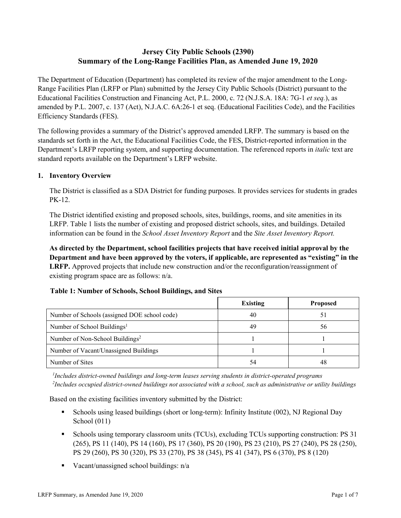# **Jersey City Public Schools (2390) Summary of the Long-Range Facilities Plan, as Amended June 19, 2020**

The Department of Education (Department) has completed its review of the major amendment to the Long-Range Facilities Plan (LRFP or Plan) submitted by the Jersey City Public Schools (District) pursuant to the Educational Facilities Construction and Financing Act, P.L. 2000, c. 72 (N.J.S.A. 18A: 7G-1 *et seq.*), as amended by P.L. 2007, c. 137 (Act), N.J.A.C. 6A:26-1 et seq. (Educational Facilities Code), and the Facilities Efficiency Standards (FES).

The following provides a summary of the District's approved amended LRFP. The summary is based on the standards set forth in the Act, the Educational Facilities Code, the FES, District-reported information in the Department's LRFP reporting system, and supporting documentation. The referenced reports in *italic* text are standard reports available on the Department's LRFP website.

## **1. Inventory Overview**

The District is classified as a SDA District for funding purposes. It provides services for students in grades PK-12.

The District identified existing and proposed schools, sites, buildings, rooms, and site amenities in its LRFP. Table 1 lists the number of existing and proposed district schools, sites, and buildings. Detailed information can be found in the *School Asset Inventory Report* and the *Site Asset Inventory Report.*

**As directed by the Department, school facilities projects that have received initial approval by the Department and have been approved by the voters, if applicable, are represented as "existing" in the LRFP.** Approved projects that include new construction and/or the reconfiguration/reassignment of existing program space are as follows: n/a.

|                                              | Existing | <b>Proposed</b> |
|----------------------------------------------|----------|-----------------|
| Number of Schools (assigned DOE school code) | 40       | 51              |
| Number of School Buildings <sup>1</sup>      | 49       | 56              |
| Number of Non-School Buildings <sup>2</sup>  |          |                 |
| Number of Vacant/Unassigned Buildings        |          |                 |
| Number of Sites                              | 54       | 48              |

### **Table 1: Number of Schools, School Buildings, and Sites**

*1 Includes district-owned buildings and long-term leases serving students in district-operated programs 2 Includes occupied district-owned buildings not associated with a school, such as administrative or utility buildings*

Based on the existing facilities inventory submitted by the District:

- Schools using leased buildings (short or long-term): Infinity Institute (002), NJ Regional Day School (011)
- Schools using temporary classroom units (TCUs), excluding TCUs supporting construction: PS 31 (265), PS 11 (140), PS 14 (160), PS 17 (360), PS 20 (190), PS 23 (210), PS 27 (240), PS 28 (250), PS 29 (260), PS 30 (320), PS 33 (270), PS 38 (345), PS 41 (347), PS 6 (370), PS 8 (120)
- Vacant/unassigned school buildings:  $n/a$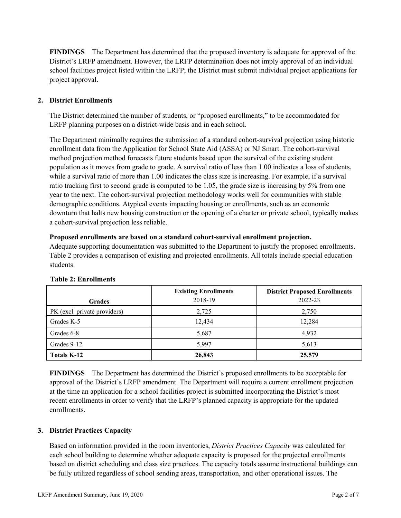**FINDINGS** The Department has determined that the proposed inventory is adequate for approval of the District's LRFP amendment. However, the LRFP determination does not imply approval of an individual school facilities project listed within the LRFP; the District must submit individual project applications for project approval.

# **2. District Enrollments**

The District determined the number of students, or "proposed enrollments," to be accommodated for LRFP planning purposes on a district-wide basis and in each school.

The Department minimally requires the submission of a standard cohort-survival projection using historic enrollment data from the Application for School State Aid (ASSA) or NJ Smart. The cohort-survival method projection method forecasts future students based upon the survival of the existing student population as it moves from grade to grade. A survival ratio of less than 1.00 indicates a loss of students, while a survival ratio of more than 1.00 indicates the class size is increasing. For example, if a survival ratio tracking first to second grade is computed to be 1.05, the grade size is increasing by 5% from one year to the next. The cohort-survival projection methodology works well for communities with stable demographic conditions. Atypical events impacting housing or enrollments, such as an economic downturn that halts new housing construction or the opening of a charter or private school, typically makes a cohort-survival projection less reliable.

## **Proposed enrollments are based on a standard cohort-survival enrollment projection.**

Adequate supporting documentation was submitted to the Department to justify the proposed enrollments. Table 2 provides a comparison of existing and projected enrollments. All totals include special education students.

|                              | <b>Existing Enrollments</b> | <b>District Proposed Enrollments</b> |
|------------------------------|-----------------------------|--------------------------------------|
| <b>Grades</b>                | 2018-19                     | 2022-23                              |
| PK (excl. private providers) | 2,725                       | 2,750                                |
| Grades K-5                   | 12,434                      | 12,284                               |
| Grades 6-8                   | 5,687                       | 4,932                                |
| Grades 9-12                  | 5,997                       | 5,613                                |
| <b>Totals K-12</b>           | 26,843                      | 25,579                               |

#### **Table 2: Enrollments**

**FINDINGS** The Department has determined the District's proposed enrollments to be acceptable for approval of the District's LRFP amendment. The Department will require a current enrollment projection at the time an application for a school facilities project is submitted incorporating the District's most recent enrollments in order to verify that the LRFP's planned capacity is appropriate for the updated enrollments.

# **3. District Practices Capacity**

Based on information provided in the room inventories, *District Practices Capacity* was calculated for each school building to determine whether adequate capacity is proposed for the projected enrollments based on district scheduling and class size practices. The capacity totals assume instructional buildings can be fully utilized regardless of school sending areas, transportation, and other operational issues. The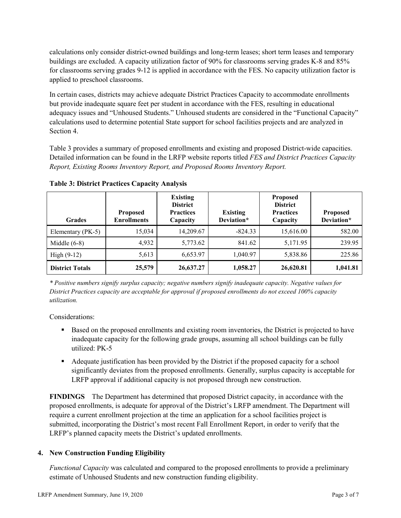calculations only consider district-owned buildings and long-term leases; short term leases and temporary buildings are excluded. A capacity utilization factor of 90% for classrooms serving grades K-8 and 85% for classrooms serving grades 9-12 is applied in accordance with the FES. No capacity utilization factor is applied to preschool classrooms.

In certain cases, districts may achieve adequate District Practices Capacity to accommodate enrollments but provide inadequate square feet per student in accordance with the FES, resulting in educational adequacy issues and "Unhoused Students." Unhoused students are considered in the "Functional Capacity" calculations used to determine potential State support for school facilities projects and are analyzed in Section 4.

Table 3 provides a summary of proposed enrollments and existing and proposed District-wide capacities. Detailed information can be found in the LRFP website reports titled *FES and District Practices Capacity Report, Existing Rooms Inventory Report, and Proposed Rooms Inventory Report.*

| <b>Grades</b>          | <b>Proposed</b><br><b>Enrollments</b> | <b>Existing</b><br><b>District</b><br><b>Practices</b><br>Capacity | <b>Existing</b><br>Deviation* | <b>Proposed</b><br><b>District</b><br><b>Practices</b><br>Capacity | <b>Proposed</b><br>Deviation* |
|------------------------|---------------------------------------|--------------------------------------------------------------------|-------------------------------|--------------------------------------------------------------------|-------------------------------|
| Elementary (PK-5)      | 15,034                                | 14,209.67                                                          | $-824.33$                     | 15,616.00                                                          | 582.00                        |
| Middle $(6-8)$         | 4,932                                 | 5,773.62                                                           | 841.62                        | 5,171.95                                                           | 239.95                        |
| High $(9-12)$          | 5,613                                 | 6,653.97                                                           | 1,040.97                      | 5,838.86                                                           | 225.86                        |
| <b>District Totals</b> | 25,579                                | 26,637.27                                                          | 1,058.27                      | 26,620.81                                                          | 1,041.81                      |

**Table 3: District Practices Capacity Analysis**

*\* Positive numbers signify surplus capacity; negative numbers signify inadequate capacity. Negative values for District Practices capacity are acceptable for approval if proposed enrollments do not exceed 100% capacity utilization.*

Considerations:

- Based on the proposed enrollments and existing room inventories, the District is projected to have inadequate capacity for the following grade groups, assuming all school buildings can be fully utilized: PK-5
- Adequate justification has been provided by the District if the proposed capacity for a school significantly deviates from the proposed enrollments. Generally, surplus capacity is acceptable for LRFP approval if additional capacity is not proposed through new construction.

**FINDINGS**The Department has determined that proposed District capacity, in accordance with the proposed enrollments, is adequate for approval of the District's LRFP amendment. The Department will require a current enrollment projection at the time an application for a school facilities project is submitted, incorporating the District's most recent Fall Enrollment Report, in order to verify that the LRFP's planned capacity meets the District's updated enrollments.

# **4. New Construction Funding Eligibility**

*Functional Capacity* was calculated and compared to the proposed enrollments to provide a preliminary estimate of Unhoused Students and new construction funding eligibility.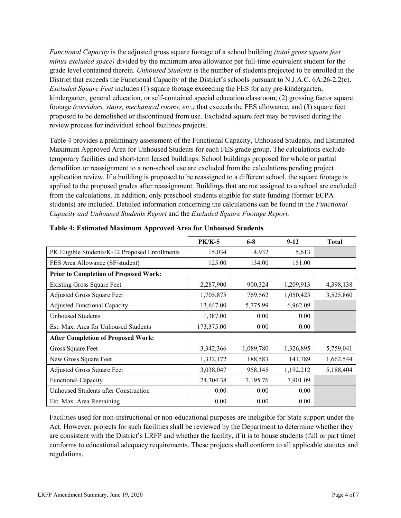*Functional Capacity* is the adjusted gross square footage of a school building *(total gross square feet minus excluded space)* divided by the minimum area allowance per full-time equivalent student for the grade level contained therein. *Unhoused Students* is the number of students projected to be enrolled in the District that exceeds the Functional Capacity of the District's schools pursuant to N.J.A.C. 6A:26-2.2(c). *Excluded Square Feet* includes (1) square footage exceeding the FES for any pre-kindergarten, kindergarten, general education, or self-contained special education classroom; (2) grossing factor square footage *(corridors, stairs, mechanical rooms, etc.)* that exceeds the FES allowance, and (3) square feet proposed to be demolished or discontinued from use. Excluded square feet may be revised during the review process for individual school facilities projects.

Table 4 provides a preliminary assessment of the Functional Capacity, Unhoused Students, and Estimated Maximum Approved Area for Unhoused Students for each FES grade group. The calculations exclude temporary facilities and short-term leased buildings. School buildings proposed for whole or partial demolition or reassignment to a non-school use are excluded from the calculations pending project application review. If a building is proposed to be reassigned to a different school, the square footage is applied to the proposed grades after reassignment. Buildings that are not assigned to a school are excluded from the calculations. In addition, only preschool students eligible for state funding (former ECPA students) are included. Detailed information concerning the calculations can be found in the *Functional Capacity and Unhoused Students Report* and the *Excluded Square Footage Report.*

|                                                | <b>PK/K-5</b> | $6 - 8$   | $9-12$    | <b>Total</b> |
|------------------------------------------------|---------------|-----------|-----------|--------------|
| PK Eligible Students/K-12 Proposed Enrollments | 15,034        | 4,932     | 5,613     |              |
| FES Area Allowance (SF/student)                | 125.00        | 134.00    | 151.00    |              |
| <b>Prior to Completion of Proposed Work:</b>   |               |           |           |              |
| <b>Existing Gross Square Feet</b>              | 2,287,900     | 900,324   | 1,209,913 | 4,398,138    |
| Adjusted Gross Square Feet                     | 1,705,875     | 769,562   | 1,050,423 | 3,525,860    |
| <b>Adjusted Functional Capacity</b>            | 13,647.00     | 5,775.99  | 6,962.09  |              |
| <b>Unhoused Students</b>                       | 1,387.00      | 0.00      | 0.00      |              |
| Est. Max. Area for Unhoused Students           | 173,375.00    | 0.00      | 0.00      |              |
| <b>After Completion of Proposed Work:</b>      |               |           |           |              |
| Gross Square Feet                              | 3,342,366     | 1,089,780 | 1,326,895 | 5,759,041    |
| New Gross Square Feet                          | 1,332,172     | 188,583   | 141,789   | 1,662,544    |
| Adjusted Gross Square Feet                     | 3,038,047     | 958,145   | 1,192,212 | 5,188,404    |
| Functional Capacity                            | 24,304.38     | 7,195.76  | 7,901.09  |              |
| Unhoused Students after Construction           | 0.00          | 0.00      | 0.00      |              |
| Est. Max. Area Remaining                       | 0.00          | 0.00      | 0.00      |              |

|  |  | Table 4: Estimated Maximum Approved Area for Unhoused Students |  |
|--|--|----------------------------------------------------------------|--|
|  |  |                                                                |  |

Facilities used for non-instructional or non-educational purposes are ineligible for State support under the Act. However, projects for such facilities shall be reviewed by the Department to determine whether they are consistent with the District's LRFP and whether the facility, if it is to house students (full or part time) conforms to educational adequacy requirements. These projects shall conform to all applicable statutes and regulations.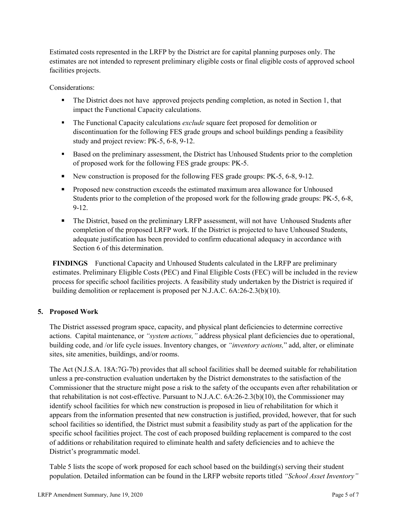Estimated costs represented in the LRFP by the District are for capital planning purposes only. The estimates are not intended to represent preliminary eligible costs or final eligible costs of approved school facilities projects.

Considerations:

- The District does not have approved projects pending completion, as noted in Section 1, that impact the Functional Capacity calculations.
- The Functional Capacity calculations *exclude* square feet proposed for demolition or discontinuation for the following FES grade groups and school buildings pending a feasibility study and project review: PK-5, 6-8, 9-12.
- **Based on the preliminary assessment, the District has Unhoused Students prior to the completion** of proposed work for the following FES grade groups: PK-5.
- New construction is proposed for the following FES grade groups: PK-5, 6-8, 9-12.
- **Proposed new construction exceeds the estimated maximum area allowance for Unhoused** Students prior to the completion of the proposed work for the following grade groups: PK-5, 6-8, 9-12.
- The District, based on the preliminary LRFP assessment, will not have Unhoused Students after completion of the proposed LRFP work. If the District is projected to have Unhoused Students, adequate justification has been provided to confirm educational adequacy in accordance with Section 6 of this determination.

**FINDINGS** Functional Capacity and Unhoused Students calculated in the LRFP are preliminary estimates. Preliminary Eligible Costs (PEC) and Final Eligible Costs (FEC) will be included in the review process for specific school facilities projects. A feasibility study undertaken by the District is required if building demolition or replacement is proposed per N.J.A.C. 6A:26-2.3(b)(10).

# **5. Proposed Work**

The District assessed program space, capacity, and physical plant deficiencies to determine corrective actions. Capital maintenance, or *"system actions,"* address physical plant deficiencies due to operational, building code, and /or life cycle issues. Inventory changes, or *"inventory actions,*" add, alter, or eliminate sites, site amenities, buildings, and/or rooms.

The Act (N.J.S.A. 18A:7G-7b) provides that all school facilities shall be deemed suitable for rehabilitation unless a pre-construction evaluation undertaken by the District demonstrates to the satisfaction of the Commissioner that the structure might pose a risk to the safety of the occupants even after rehabilitation or that rehabilitation is not cost-effective. Pursuant to N.J.A.C. 6A:26-2.3(b)(10), the Commissioner may identify school facilities for which new construction is proposed in lieu of rehabilitation for which it appears from the information presented that new construction is justified, provided, however, that for such school facilities so identified, the District must submit a feasibility study as part of the application for the specific school facilities project. The cost of each proposed building replacement is compared to the cost of additions or rehabilitation required to eliminate health and safety deficiencies and to achieve the District's programmatic model.

Table 5 lists the scope of work proposed for each school based on the building(s) serving their student population. Detailed information can be found in the LRFP website reports titled *"School Asset Inventory"*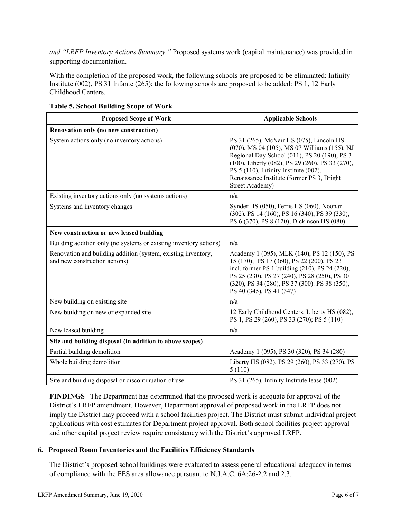*and "LRFP Inventory Actions Summary."* Proposed systems work (capital maintenance) was provided in supporting documentation.

With the completion of the proposed work, the following schools are proposed to be eliminated: Infinity Institute (002), PS 31 Infante (265); the following schools are proposed to be added: PS 1, 12 Early Childhood Centers.

| <b>Proposed Scope of Work</b>                                                                  | <b>Applicable Schools</b>                                                                                                                                                                                                                                                                                    |
|------------------------------------------------------------------------------------------------|--------------------------------------------------------------------------------------------------------------------------------------------------------------------------------------------------------------------------------------------------------------------------------------------------------------|
| Renovation only (no new construction)                                                          |                                                                                                                                                                                                                                                                                                              |
| System actions only (no inventory actions)                                                     | PS 31 (265), McNair HS (075), Lincoln HS<br>(070), MS 04 (105), MS 07 Williams (155), NJ<br>Regional Day School (011), PS 20 (190), PS 3<br>(100), Liberty (082), PS 29 (260), PS 33 (270),<br>PS 5 (110), Infinity Institute (002),<br>Renaissance Institute (former PS 3, Bright<br><b>Street Academy)</b> |
| Existing inventory actions only (no systems actions)                                           | n/a                                                                                                                                                                                                                                                                                                          |
| Systems and inventory changes                                                                  | Synder HS (050), Ferris HS (060), Noonan<br>(302), PS 14 (160), PS 16 (340), PS 39 (330),<br>PS 6 (370), PS 8 (120), Dickinson HS (080)                                                                                                                                                                      |
| New construction or new leased building                                                        |                                                                                                                                                                                                                                                                                                              |
| Building addition only (no systems or existing inventory actions)                              | n/a                                                                                                                                                                                                                                                                                                          |
| Renovation and building addition (system, existing inventory,<br>and new construction actions) | Academy 1 (095), MLK (140), PS 12 (150), PS<br>15 (170), PS 17 (360), PS 22 (200), PS 23<br>incl. former PS 1 building (210), PS 24 (220),<br>PS 25 (230), PS 27 (240), PS 28 (250), PS 30<br>(320), PS 34 (280), PS 37 (300). PS 38 (350),<br>PS 40 (345), PS 41 (347)                                      |
| New building on existing site                                                                  | n/a                                                                                                                                                                                                                                                                                                          |
| New building on new or expanded site                                                           | 12 Early Childhood Centers, Liberty HS (082),<br>PS 1, PS 29 (260), PS 33 (270); PS 5 (110)                                                                                                                                                                                                                  |
| New leased building                                                                            | n/a                                                                                                                                                                                                                                                                                                          |
| Site and building disposal (in addition to above scopes)                                       |                                                                                                                                                                                                                                                                                                              |
| Partial building demolition                                                                    | Academy 1 (095), PS 30 (320), PS 34 (280)                                                                                                                                                                                                                                                                    |
| Whole building demolition                                                                      | Liberty HS (082), PS 29 (260), PS 33 (270), PS<br>5(110)                                                                                                                                                                                                                                                     |
| Site and building disposal or discontinuation of use                                           | PS 31 (265), Infinity Institute lease (002)                                                                                                                                                                                                                                                                  |

**Table 5. School Building Scope of Work**

**FINDINGS** The Department has determined that the proposed work is adequate for approval of the District's LRFP amendment. However, Department approval of proposed work in the LRFP does not imply the District may proceed with a school facilities project. The District must submit individual project applications with cost estimates for Department project approval. Both school facilities project approval and other capital project review require consistency with the District's approved LRFP.

# **6. Proposed Room Inventories and the Facilities Efficiency Standards**

The District's proposed school buildings were evaluated to assess general educational adequacy in terms of compliance with the FES area allowance pursuant to N.J.A.C. 6A:26-2.2 and 2.3.